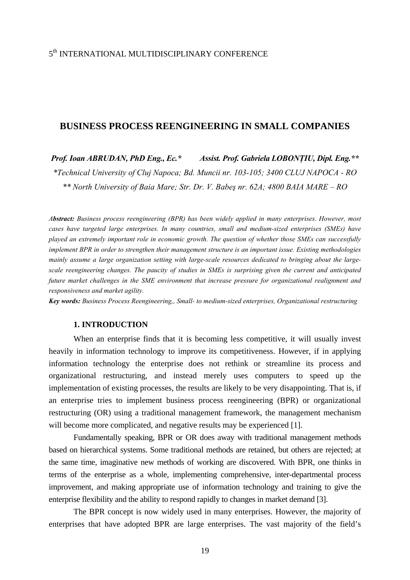## 5th INTERNATIONAL MULTIDISCIPLINARY CONFERENCE

## **BUSINESS PROCESS REENGINEERING IN SMALL COMPANIES**

*Prof. Ioan ABRUDAN, PhD Eng., Ec.\* Assist. Prof. Gabriela LOBONŢIU, Dipl. Eng.\*\* \*Technical University of Cluj Napoca; Bd. Muncii nr. 103-105; 3400 CLUJ NAPOCA - RO \*\* North University of Baia Mare; Str. Dr. V. Babeş nr. 62A; 4800 BAIA MARE – RO* 

*Abstract: Business process reengineering (BPR) has been widely applied in many enterprises. However, most cases have targeted large enterprises. In many countries, small and medium-sized enterprises (SMEs) have played an extremely important role in economic growth. The question of whether those SMEs can successfully implement BPR in order to strengthen their management structure is an important issue. Existing methodologies mainly assume a large organization setting with large-scale resources dedicated to bringing about the largescale reengineering changes. The paucity of studies in SMEs is surprising given the current and anticipated future market challenges in the SME environment that increase pressure for organizational realignment and responsiveness and market agility.* 

*Key words: Business Process Reengineering,, Small- to medium-sized enterprises, Organizational restructuring* 

### **1. INTRODUCTION**

When an enterprise finds that it is becoming less competitive, it will usually invest heavily in information technology to improve its competitiveness. However, if in applying information technology the enterprise does not rethink or streamline its process and organizational restructuring, and instead merely uses computers to speed up the implementation of existing processes, the results are likely to be very disappointing. That is, if an enterprise tries to implement business process reengineering (BPR) or organizational restructuring (OR) using a traditional management framework, the management mechanism will become more complicated, and negative results may be experienced [1].

Fundamentally speaking, BPR or OR does away with traditional management methods based on hierarchical systems. Some traditional methods are retained, but others are rejected; at the same time, imaginative new methods of working are discovered. With BPR, one thinks in terms of the enterprise as a whole, implementing comprehensive, inter-departmental process improvement, and making appropriate use of information technology and training to give the enterprise flexibility and the ability to respond rapidly to changes in market demand [3].

The BPR concept is now widely used in many enterprises. However, the majority of enterprises that have adopted BPR are large enterprises. The vast majority of the field's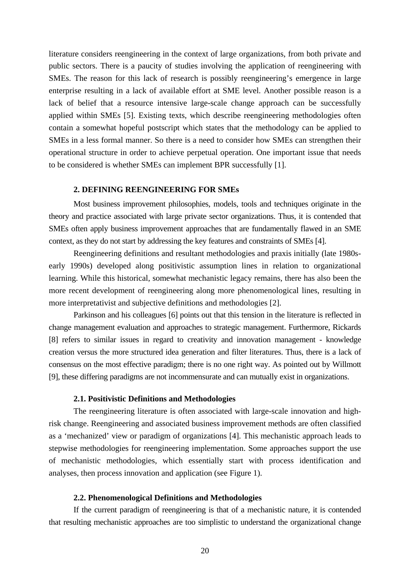literature considers reengineering in the context of large organizations, from both private and public sectors. There is a paucity of studies involving the application of reengineering with SMEs. The reason for this lack of research is possibly reengineering's emergence in large enterprise resulting in a lack of available effort at SME level. Another possible reason is a lack of belief that a resource intensive large-scale change approach can be successfully applied within SMEs [5]. Existing texts, which describe reengineering methodologies often contain a somewhat hopeful postscript which states that the methodology can be applied to SMEs in a less formal manner. So there is a need to consider how SMEs can strengthen their operational structure in order to achieve perpetual operation. One important issue that needs to be considered is whether SMEs can implement BPR successfully [1].

#### **2. DEFINING REENGINEERING FOR SMEs**

Most business improvement philosophies, models, tools and techniques originate in the theory and practice associated with large private sector organizations. Thus, it is contended that SMEs often apply business improvement approaches that are fundamentally flawed in an SME context, as they do not start by addressing the key features and constraints of SMEs [4].

Reengineering definitions and resultant methodologies and praxis initially (late 1980searly 1990s) developed along positivistic assumption lines in relation to organizational learning. While this historical, somewhat mechanistic legacy remains, there has also been the more recent development of reengineering along more phenomenological lines, resulting in more interpretativist and subjective definitions and methodologies [2].

Parkinson and his colleagues [6] points out that this tension in the literature is reflected in change management evaluation and approaches to strategic management. Furthermore, Rickards [8] refers to similar issues in regard to creativity and innovation management - knowledge creation versus the more structured idea generation and filter literatures. Thus, there is a lack of consensus on the most effective paradigm; there is no one right way. As pointed out by Willmott [9], these differing paradigms are not incommensurate and can mutually exist in organizations.

### **2.1. Positivistic Definitions and Methodologies**

The reengineering literature is often associated with large-scale innovation and highrisk change. Reengineering and associated business improvement methods are often classified as a 'mechanized' view or paradigm of organizations [4]. This mechanistic approach leads to stepwise methodologies for reengineering implementation. Some approaches support the use of mechanistic methodologies, which essentially start with process identification and analyses, then process innovation and application (see Figure 1).

### **2.2. Phenomenological Definitions and Methodologies**

If the current paradigm of reengineering is that of a mechanistic nature, it is contended that resulting mechanistic approaches are too simplistic to understand the organizational change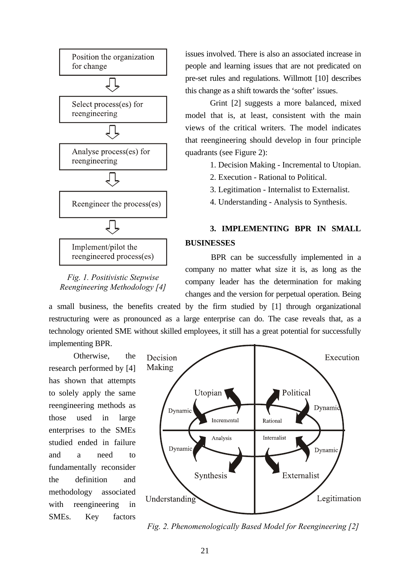

*Fig. 1. Positivistic Stepwise Reengineering Methodology [4]* 

issues involved. There is also an associated increase in people and learning issues that are not predicated on pre-set rules and regulations. Willmott [10] describes this change as a shift towards the 'softer' issues.

Grint [2] suggests a more balanced, mixed model that is, at least, consistent with the main views of the critical writers. The model indicates that reengineering should develop in four principle quadrants (see Figure 2):

1. Decision Making - Incremental to Utopian.

- 2. Execution Rational to Political.
- 3. Legitimation Internalist to Externalist.
- 4. Understanding Analysis to Synthesis.

# **3. IMPLEMENTING BPR IN SMALL BUSINESSES**

BPR can be successfully implemented in a company no matter what size it is, as long as the company leader has the determination for making changes and the version for perpetual operation. Being

a small business, the benefits created by the firm studied by [1] through organizational restructuring were as pronounced as a large enterprise can do. The case reveals that, as a technology oriented SME without skilled employees, it still has a great potential for successfully implementing BPR.

Otherwise, the research performed by [4] has shown that attempts to solely apply the same reengineering methods as those used in large enterprises to the SMEs studied ended in failure and a need to fundamentally reconsider the definition and methodology associated with reengineering in SMEs. Key factors



*Fig. 2. Phenomenologically Based Model for Reengineering [2]*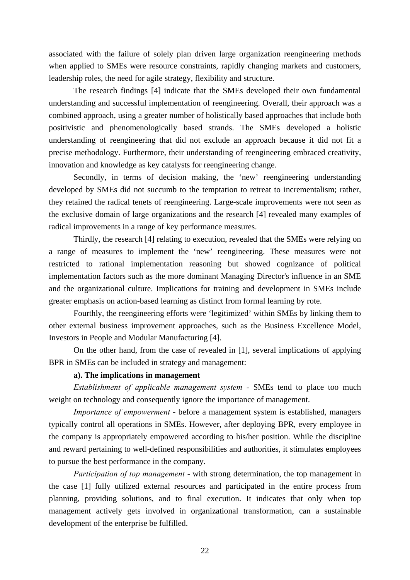associated with the failure of solely plan driven large organization reengineering methods when applied to SMEs were resource constraints, rapidly changing markets and customers, leadership roles, the need for agile strategy, flexibility and structure.

The research findings [4] indicate that the SMEs developed their own fundamental understanding and successful implementation of reengineering. Overall, their approach was a combined approach, using a greater number of holistically based approaches that include both positivistic and phenomenologically based strands. The SMEs developed a holistic understanding of reengineering that did not exclude an approach because it did not fit a precise methodology. Furthermore, their understanding of reengineering embraced creativity, innovation and knowledge as key catalysts for reengineering change.

Secondly, in terms of decision making, the 'new' reengineering understanding developed by SMEs did not succumb to the temptation to retreat to incrementalism; rather, they retained the radical tenets of reengineering. Large-scale improvements were not seen as the exclusive domain of large organizations and the research [4] revealed many examples of radical improvements in a range of key performance measures.

Thirdly, the research [4] relating to execution, revealed that the SMEs were relying on a range of measures to implement the 'new' reengineering. These measures were not restricted to rational implementation reasoning but showed cognizance of political implementation factors such as the more dominant Managing Director's influence in an SME and the organizational culture. Implications for training and development in SMEs include greater emphasis on action-based learning as distinct from formal learning by rote.

Fourthly, the reengineering efforts were 'legitimized' within SMEs by linking them to other external business improvement approaches, such as the Business Excellence Model, Investors in People and Modular Manufacturing [4].

On the other hand, from the case of revealed in [1], several implications of applying BPR in SMEs can be included in strategy and management:

### **a). The implications in management**

*Establishment of applicable management system -* SMEs tend to place too much weight on technology and consequently ignore the importance of management.

*Importance of empowerment* - before a management system is established, managers typically control all operations in SMEs. However, after deploying BPR, every employee in the company is appropriately empowered according to his/her position. While the discipline and reward pertaining to well-defined responsibilities and authorities, it stimulates employees to pursue the best performance in the company.

*Participation of top management* - with strong determination, the top management in the case [1] fully utilized external resources and participated in the entire process from planning, providing solutions, and to final execution. It indicates that only when top management actively gets involved in organizational transformation, can a sustainable development of the enterprise be fulfilled.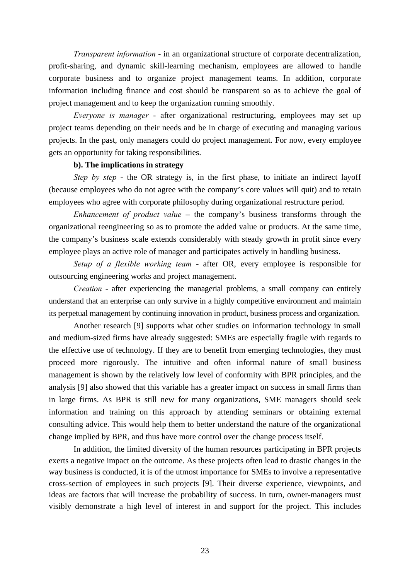*Transparent information* - in an organizational structure of corporate decentralization, profit-sharing, and dynamic skill-learning mechanism, employees are allowed to handle corporate business and to organize project management teams. In addition, corporate information including finance and cost should be transparent so as to achieve the goal of project management and to keep the organization running smoothly.

*Everyone is manager* - after organizational restructuring, employees may set up project teams depending on their needs and be in charge of executing and managing various projects. In the past, only managers could do project management. For now, every employee gets an opportunity for taking responsibilities.

### **b). The implications in strategy**

*Step by step* - the OR strategy is, in the first phase, to initiate an indirect layoff (because employees who do not agree with the company's core values will quit) and to retain employees who agree with corporate philosophy during organizational restructure period.

*Enhancement of product value* – the company's business transforms through the organizational reengineering so as to promote the added value or products. At the same time, the company's business scale extends considerably with steady growth in profit since every employee plays an active role of manager and participates actively in handling business.

*Setup of a flexible working team* - after OR, every employee is responsible for outsourcing engineering works and project management.

*Creation* - after experiencing the managerial problems, a small company can entirely understand that an enterprise can only survive in a highly competitive environment and maintain its perpetual management by continuing innovation in product, business process and organization.

Another research [9] supports what other studies on information technology in small and medium-sized firms have already suggested: SMEs are especially fragile with regards to the effective use of technology. If they are to benefit from emerging technologies, they must proceed more rigorously. The intuitive and often informal nature of small business management is shown by the relatively low level of conformity with BPR principles, and the analysis [9] also showed that this variable has a greater impact on success in small firms than in large firms. As BPR is still new for many organizations, SME managers should seek information and training on this approach by attending seminars or obtaining external consulting advice. This would help them to better understand the nature of the organizational change implied by BPR, and thus have more control over the change process itself.

In addition, the limited diversity of the human resources participating in BPR projects exerts a negative impact on the outcome. As these projects often lead to drastic changes in the way business is conducted, it is of the utmost importance for SMEs to involve a representative cross-section of employees in such projects [9]. Their diverse experience, viewpoints, and ideas are factors that will increase the probability of success. In turn, owner-managers must visibly demonstrate a high level of interest in and support for the project. This includes